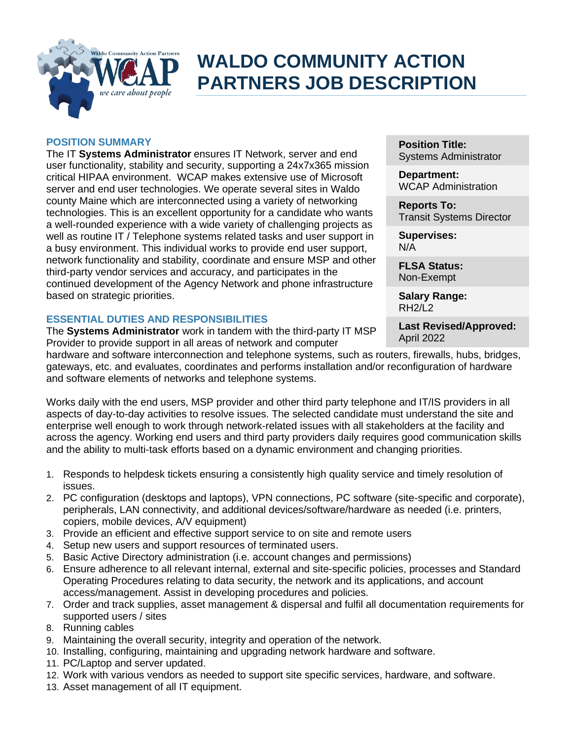

# **WALDO COMMUNITY ACTION PARTNERS JOB DESCRIPTION**

#### **POSITION SUMMARY**

The IT **Systems Administrator** ensures IT Network, server and end user functionality, stability and security, supporting a 24x7x365 mission critical HIPAA environment. WCAP makes extensive use of Microsoft server and end user technologies. We operate several sites in Waldo county Maine which are interconnected using a variety of networking technologies. This is an excellent opportunity for a candidate who wants a well-rounded experience with a wide variety of challenging projects as well as routine IT / Telephone systems related tasks and user support in a busy environment. This individual works to provide end user support, network functionality and stability, coordinate and ensure MSP and other third-party vendor services and accuracy, and participates in the continued development of the Agency Network and phone infrastructure based on strategic priorities.

### **ESSENTIAL DUTIES AND RESPONSIBILITIES**

The **Systems Administrator** work in tandem with the third-party IT MSP Provider to provide support in all areas of network and computer

**Position Title:** Systems Administrator

**Department:** WCAP Administration

**Reports To:** Transit Systems Director

**Supervises:** N/A

**FLSA Status:** Non-Exempt

**Salary Range:** RH2/L2

**Last Revised/Approved:** April 2022

hardware and software interconnection and telephone systems, such as routers, firewalls, hubs, bridges, gateways, etc. and evaluates, coordinates and performs installation and/or reconfiguration of hardware and software elements of networks and telephone systems.

Works daily with the end users, MSP provider and other third party telephone and IT/IS providers in all aspects of day-to-day activities to resolve issues. The selected candidate must understand the site and enterprise well enough to work through network-related issues with all stakeholders at the facility and across the agency. Working end users and third party providers daily requires good communication skills and the ability to multi-task efforts based on a dynamic environment and changing priorities.

- 1. Responds to helpdesk tickets ensuring a consistently high quality service and timely resolution of issues.
- 2. PC configuration (desktops and laptops), VPN connections, PC software (site-specific and corporate), peripherals, LAN connectivity, and additional devices/software/hardware as needed (i.e. printers, copiers, mobile devices, A/V equipment)
- 3. Provide an efficient and effective support service to on site and remote users
- 4. Setup new users and support resources of terminated users.
- 5. Basic Active Directory administration (i.e. account changes and permissions)
- 6. Ensure adherence to all relevant internal, external and site-specific policies, processes and Standard Operating Procedures relating to data security, the network and its applications, and account access/management. Assist in developing procedures and policies.
- 7. Order and track supplies, asset management & dispersal and fulfil all documentation requirements for supported users / sites
- 8. Running cables
- 9. Maintaining the overall security, integrity and operation of the network.
- 10. Installing, configuring, maintaining and upgrading network hardware and software.
- 11. PC/Laptop and server updated.
- 12. Work with various vendors as needed to support site specific services, hardware, and software.
- 13. Asset management of all IT equipment.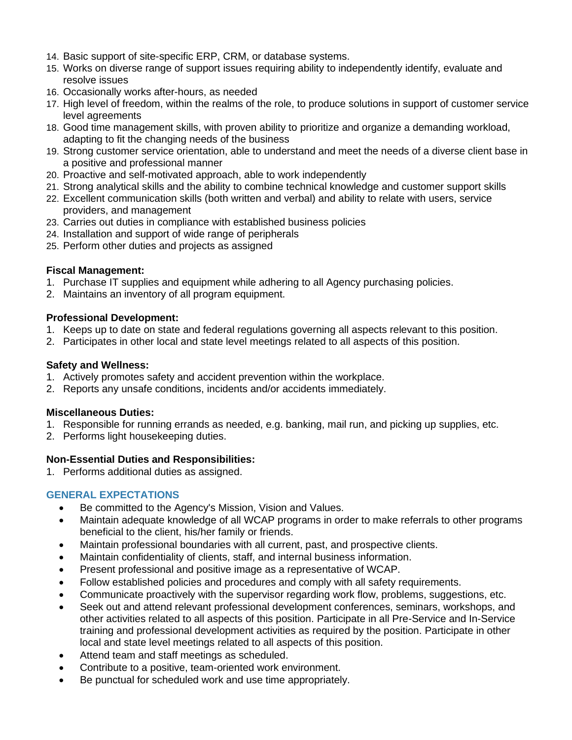- 14. Basic support of site-specific ERP, CRM, or database systems.
- 15. Works on diverse range of support issues requiring ability to independently identify, evaluate and resolve issues
- 16. Occasionally works after-hours, as needed
- 17. High level of freedom, within the realms of the role, to produce solutions in support of customer service level agreements
- 18. Good time management skills, with proven ability to prioritize and organize a demanding workload, adapting to fit the changing needs of the business
- 19. Strong customer service orientation, able to understand and meet the needs of a diverse client base in a positive and professional manner
- 20. Proactive and self-motivated approach, able to work independently
- 21. Strong analytical skills and the ability to combine technical knowledge and customer support skills
- 22. Excellent communication skills (both written and verbal) and ability to relate with users, service providers, and management
- 23. Carries out duties in compliance with established business policies
- 24. Installation and support of wide range of peripherals
- 25. Perform other duties and projects as assigned

## **Fiscal Management:**

- 1. Purchase IT supplies and equipment while adhering to all Agency purchasing policies.
- 2. Maintains an inventory of all program equipment.

## **Professional Development:**

- 1. Keeps up to date on state and federal regulations governing all aspects relevant to this position.
- 2. Participates in other local and state level meetings related to all aspects of this position.

## **Safety and Wellness:**

- 1. Actively promotes safety and accident prevention within the workplace.
- 2. Reports any unsafe conditions, incidents and/or accidents immediately.

## **Miscellaneous Duties:**

- 1. Responsible for running errands as needed, e.g. banking, mail run, and picking up supplies, etc.
- 2. Performs light housekeeping duties.

## **Non-Essential Duties and Responsibilities:**

1. Performs additional duties as assigned.

## **GENERAL EXPECTATIONS**

- Be committed to the Agency's Mission, Vision and Values.
- Maintain adequate knowledge of all WCAP programs in order to make referrals to other programs beneficial to the client, his/her family or friends.
- Maintain professional boundaries with all current, past, and prospective clients.
- Maintain confidentiality of clients, staff, and internal business information.
- Present professional and positive image as a representative of WCAP.
- Follow established policies and procedures and comply with all safety requirements.
- Communicate proactively with the supervisor regarding work flow, problems, suggestions, etc.
- Seek out and attend relevant professional development conferences, seminars, workshops, and other activities related to all aspects of this position. Participate in all Pre-Service and In-Service training and professional development activities as required by the position. Participate in other local and state level meetings related to all aspects of this position.
- Attend team and staff meetings as scheduled.
- Contribute to a positive, team-oriented work environment.
- Be punctual for scheduled work and use time appropriately.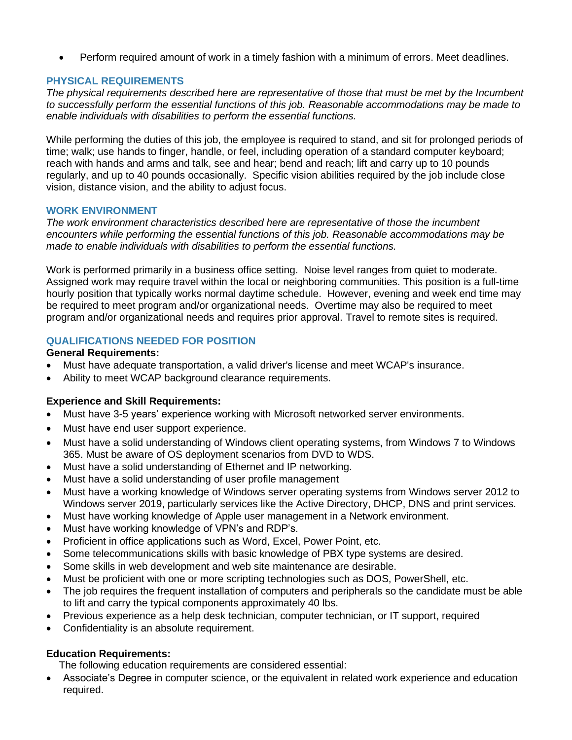• Perform required amount of work in a timely fashion with a minimum of errors. Meet deadlines.

## **PHYSICAL REQUIREMENTS**

*The physical requirements described here are representative of those that must be met by the Incumbent to successfully perform the essential functions of this job. Reasonable accommodations may be made to enable individuals with disabilities to perform the essential functions.*

While performing the duties of this job, the employee is required to stand, and sit for prolonged periods of time; walk; use hands to finger, handle, or feel, including operation of a standard computer keyboard; reach with hands and arms and talk, see and hear; bend and reach; lift and carry up to 10 pounds regularly, and up to 40 pounds occasionally. Specific vision abilities required by the job include close vision, distance vision, and the ability to adjust focus.

### **WORK ENVIRONMENT**

*The work environment characteristics described here are representative of those the incumbent encounters while performing the essential functions of this job. Reasonable accommodations may be made to enable individuals with disabilities to perform the essential functions.* 

Work is performed primarily in a business office setting. Noise level ranges from quiet to moderate. Assigned work may require travel within the local or neighboring communities. This position is a full-time hourly position that typically works normal daytime schedule. However, evening and week end time may be required to meet program and/or organizational needs. Overtime may also be required to meet program and/or organizational needs and requires prior approval. Travel to remote sites is required.

## **QUALIFICATIONS NEEDED FOR POSITION**

### **General Requirements:**

- Must have adequate transportation, a valid driver's license and meet WCAP's insurance.
- Ability to meet WCAP background clearance requirements.

### **Experience and Skill Requirements:**

- Must have 3-5 years' experience working with Microsoft networked server environments.
- Must have end user support experience.
- Must have a solid understanding of Windows client operating systems, from Windows 7 to Windows 365. Must be aware of OS deployment scenarios from DVD to WDS.
- Must have a solid understanding of Ethernet and IP networking.
- Must have a solid understanding of user profile management
- Must have a working knowledge of Windows server operating systems from Windows server 2012 to Windows server 2019, particularly services like the Active Directory, DHCP, DNS and print services.
- Must have working knowledge of Apple user management in a Network environment.
- Must have working knowledge of VPN's and RDP's.
- Proficient in office applications such as Word, Excel, Power Point, etc.
- Some telecommunications skills with basic knowledge of PBX type systems are desired.
- Some skills in web development and web site maintenance are desirable.
- Must be proficient with one or more scripting technologies such as DOS, PowerShell, etc.
- The job requires the frequent installation of computers and peripherals so the candidate must be able to lift and carry the typical components approximately 40 lbs.
- Previous experience as a help desk technician, computer technician, or IT support, required
- Confidentiality is an absolute requirement.

### **Education Requirements:**

The following education requirements are considered essential:

• Associate's Degree in computer science, or the equivalent in related work experience and education required.